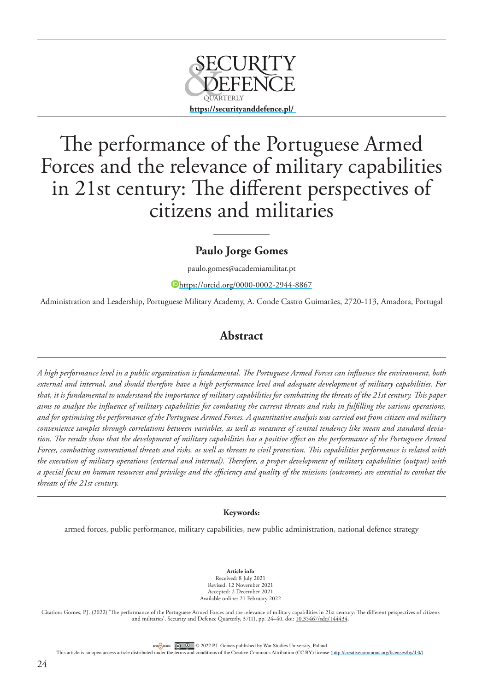

# The performance of the Portuguese Armed Forces and the relevance of military capabilities in 21st century: The different perspectives of citizens and militaries

# **Paulo Jorge Gomes**

paulo.gomes@academiamilitar.pt

<https://orcid.org/0000-0002-2944-8867>

Administration and Leadership, Portuguese Military Academy, A. Conde Castro Guimarães, 2720-113, Amadora, Portugal

# **Abstract**

*A high performance level in a public organisation is fundamental. The Portuguese Armed Forces can influence the environment, both external and internal, and should therefore have a high performance level and adequate development of military capabilities. For that, it is fundamental to understand the importance of military capabilities for combatting the threats of the 21st century. This paper aims to analyse the influence of military capabilities for combating the current threats and risks in fulfilling the various operations, and for optimising the performance of the Portuguese Armed Forces. A quantitative analysis was carried out from citizen and military convenience samples through correlations between variables, as well as measures of central tendency like mean and standard deviation. The results show that the development of military capabilities has a positive effect on the performance of the Portuguese Armed Forces, combatting conventional threats and risks, as well as threats to civil protection. This capabilities performance is related with the execution of military operations (external and internal). Therefore, a proper development of military capabilities (output) with a special focus on human resources and privilege and the efficiency and quality of the missions (outcomes) are essential to combat the threats of the 21st century.*

### **Keywords:**

armed forces, public performance, military capabilities, new public administration, national defence strategy

**Article info** Received: 8 July 2021 Revised: 12 November 2021 Accepted: 2 December 2021 Available online: 21 February 2022

Citation: Gomes, P.J. (2022) 'The performance of the Portuguese Armed Forces and the relevance of military capabilities in 21st century: The different perspectives of citizens and militaries', Security and Defence Quarterly, 37(1), pp. 24–40. doi: [10.35467/sdq/144434](http://doi.org/10.35467/sdq/144434).

OFENCIACCESS **CO** 2022 P.J. Gomes published by War Studies University, Poland.

This article is an open access article distributed under the terms and conditions of the Creative Commons Attribution (CC BY) license [\(http://creativecommons.org/licenses/by/4.0/](http://creativecommons.org/licenses/by/4.0/)).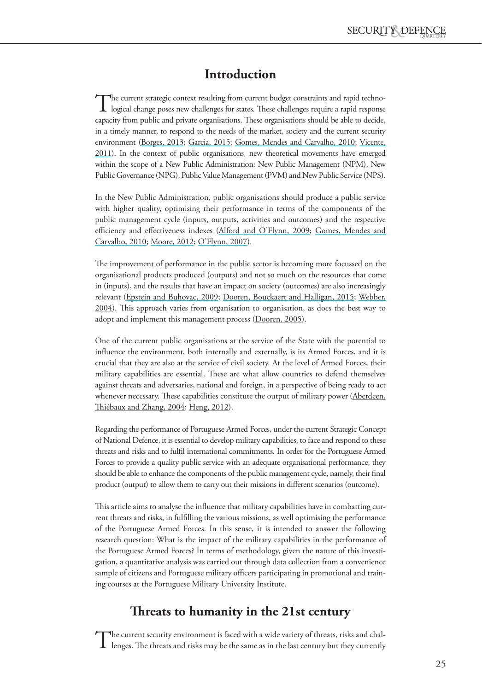# **Introduction**

The current strategic context resulting from current budget constraints and rapid techno-<br>logical change poses new challenges for states. These challenges require a rapid response capacity from public and private organisations. These organisations should be able to decide, in a timely manner, to respond to the needs of the market, society and the current security environment [\(Borges, 2013;](#page-13-0) [Garcia, 2015;](#page-14-0) [Gomes, Mendes and Carvalho, 2010;](#page-14-1) [Vicente,](#page-16-0)  [2011](#page-16-0)). In the context of public organisations, new theoretical movements have emerged within the scope of a New Public Administration: New Public Management (NPM), New Public Governance (NPG), Public Value Management (PVM) and New Public Service (NPS).

In the New Public Administration, public organisations should produce a public service with higher quality, optimising their performance in terms of the components of the public management cycle (inputs, outputs, activities and outcomes) and the respective efficiency and effectiveness indexes (Alford and O'Flynn, 2009; [Gomes, Mendes and](#page-14-1)  [Carvalho, 2010](#page-14-1); [Moore, 2012](#page-15-0); O'Flynn, 2007).

The improvement of performance in the public sector is becoming more focussed on the organisational products produced (outputs) and not so much on the resources that come in (inputs), and the results that have an impact on society (outcomes) are also increasingly relevant [\(Epstein and Buhovac, 2009;](#page-14-2) [Dooren, Bouckaert and Halligan, 2015;](#page-14-3) [Webber,](#page-16-1)  [2004\)](#page-16-1). This approach varies from organisation to organisation, as does the best way to adopt and implement this management process [\(Dooren, 2005\)](#page-14-4).

One of the current public organisations at the service of the State with the potential to influence the environment, both internally and externally, is its Armed Forces, and it is crucial that they are also at the service of civil society. At the level of Armed Forces, their military capabilities are essential. These are what allow countries to defend themselves against threats and adversaries, national and foreign, in a perspective of being ready to act whenever necessary. These capabilities constitute the output of military power (Aberdeen, Thiébaux and Zhang, 2004; [Heng, 2012\)](#page-15-1).

Regarding the performance of Portuguese Armed Forces, under the current Strategic Concept of National Defence, it is essential to develop military capabilities, to face and respond to these threats and risks and to fulfil international commitments. In order for the Portuguese Armed Forces to provide a quality public service with an adequate organisational performance, they should be able to enhance the components of the public management cycle, namely, their final product (output) to allow them to carry out their missions in different scenarios (outcome).

This article aims to analyse the influence that military capabilities have in combatting current threats and risks, in fulfilling the various missions, as well optimising the performance of the Portuguese Armed Forces. In this sense, it is intended to answer the following research question: What is the impact of the military capabilities in the performance of the Portuguese Armed Forces? In terms of methodology, given the nature of this investigation, a quantitative analysis was carried out through data collection from a convenience sample of citizens and Portuguese military officers participating in promotional and training courses at the Portuguese Military University Institute.

# **Threats to humanity in the 21st century**

The current security environment is faced with a wide variety of threats, risks and challenges. The threats and risks may be the same as in the last century but they currently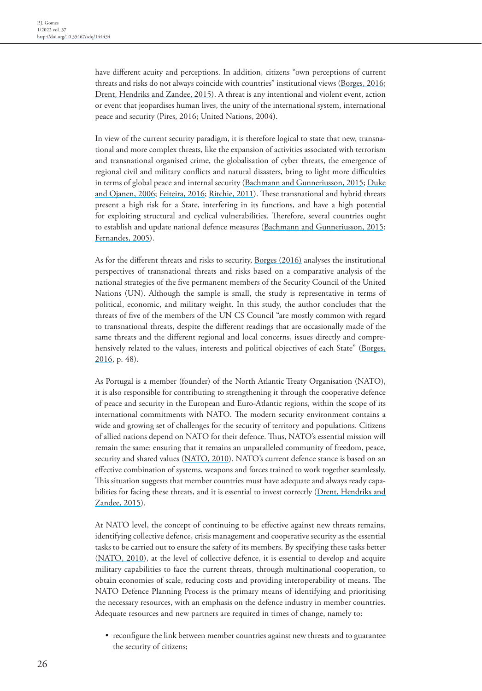have different acuity and perceptions. In addition, citizens "own perceptions of current threats and risks do not always coincide with countries" institutional views ([Borges, 2016](#page-13-1); [Drent, Hendriks and Zandee, 2015\)](#page-14-5). A threat is any intentional and violent event, action or event that jeopardises human lives, the unity of the international system, international peace and security ([Pires, 2016](#page-15-2); [United Nations, 2004](#page-16-2)).

In view of the current security paradigm, it is therefore logical to state that new, transnational and more complex threats, like the expansion of activities associated with terrorism and transnational organised crime, the globalisation of cyber threats, the emergence of regional civil and military conflicts and natural disasters, bring to light more difficulties in terms of global peace and internal security [\(Bachmann and Gunneriusson, 2015;](#page-13-2) [Duke](#page-14-6)  [and Ojanen, 2006;](#page-14-6) [Feiteira, 2016;](#page-14-7) [Ritchie, 2011](#page-16-3)). These transnational and hybrid threats present a high risk for a State, interfering in its functions, and have a high potential for exploiting structural and cyclical vulnerabilities. Therefore, several countries ought to establish and update national defence measures ([Bachmann and Gunneriusson, 2015](#page-13-2); [Fernandes, 2005](#page-14-8)).

As for the different threats and risks to security, [Borges \(2016\)](#page-13-1) analyses the institutional perspectives of transnational threats and risks based on a comparative analysis of the national strategies of the five permanent members of the Security Council of the United Nations (UN). Although the sample is small, the study is representative in terms of political, economic, and military weight. In this study, the author concludes that the threats of five of the members of the UN CS Council "are mostly common with regard to transnational threats, despite the different readings that are occasionally made of the same threats and the different regional and local concerns, issues directly and comprehensively related to the values, interests and political objectives of each State" (Borges, [2016](#page-13-1), p. 48).

As Portugal is a member (founder) of the North Atlantic Treaty Organisation (NATO), it is also responsible for contributing to strengthening it through the cooperative defence of peace and security in the European and Euro-Atlantic regions, within the scope of its international commitments with NATO. The modern security environment contains a wide and growing set of challenges for the security of territory and populations. Citizens of allied nations depend on NATO for their defence. Thus, NATO's essential mission will remain the same: ensuring that it remains an unparalleled community of freedom, peace, security and shared values ([NATO, 2010](#page-15-3)). NATO's current defence stance is based on an effective combination of systems, weapons and forces trained to work together seamlessly. This situation suggests that member countries must have adequate and always ready capabilities for facing these threats, and it is essential to invest correctly (Drent, Hendriks and [Zandee, 2015\)](#page-14-5).

At NATO level, the concept of continuing to be effective against new threats remains, identifying collective defence, crisis management and cooperative security as the essential tasks to be carried out to ensure the safety of its members. By specifying these tasks better [\(NATO, 2010](#page-15-3)), at the level of collective defence, it is essential to develop and acquire military capabilities to face the current threats, through multinational cooperation, to obtain economies of scale, reducing costs and providing interoperability of means. The NATO Defence Planning Process is the primary means of identifying and prioritising the necessary resources, with an emphasis on the defence industry in member countries. Adequate resources and new partners are required in times of change, namely to:

• reconfigure the link between member countries against new threats and to guarantee the security of citizens;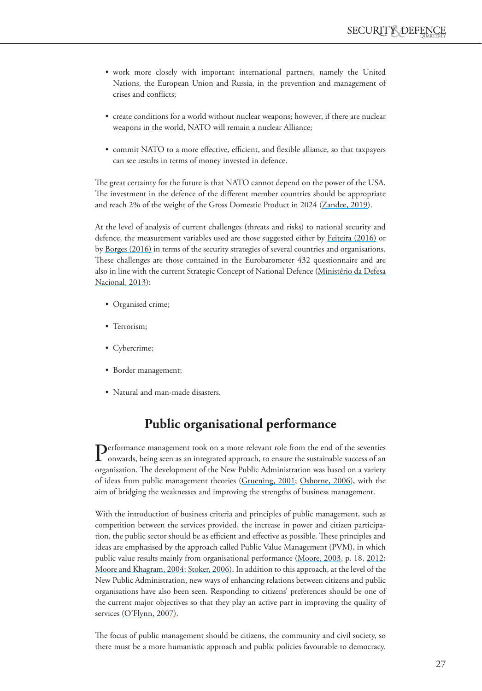- work more closely with important international partners, namely the United Nations, the European Union and Russia, in the prevention and management of crises and conflicts;
- create conditions for a world without nuclear weapons; however, if there are nuclear weapons in the world, NATO will remain a nuclear Alliance;
- commit NATO to a more effective, efficient, and flexible alliance, so that taxpayers can see results in terms of money invested in defence.

The great certainty for the future is that NATO cannot depend on the power of the USA. The investment in the defence of the different member countries should be appropriate and reach 2% of the weight of the Gross Domestic Product in 2024 ([Zandee, 2019\)](#page-16-4).

At the level of analysis of current challenges (threats and risks) to national security and defence, the measurement variables used are those suggested either by [Feiteira \(2016\)](#page-14-7) or by [Borges \(2016\)](#page-13-1) in terms of the security strategies of several countries and organisations. These challenges are those contained in the Eurobarometer 432 questionnaire and are also in line with the current Strategic Concept of National Defence (Ministério da Defesa Nacional, 2013):

- Organised crime;
- Terrorism;
- Cybercrime;
- Border management;
- Natural and man-made disasters.

# **Public organisational performance**

Performance management took on a more relevant role from the end of the seventies onwards, being seen as an integrated approach, to ensure the sustainable success of an organisation. The development of the New Public Administration was based on a variety of ideas from public management theories [\(Gruening, 2001](#page-14-9); [Osborne, 2006](#page-15-4)), with the aim of bridging the weaknesses and improving the strengths of business management.

With the introduction of business criteria and principles of public management, such as competition between the services provided, the increase in power and citizen participation, the public sector should be as efficient and effective as possible. These principles and ideas are emphasised by the approach called Public Value Management (PVM), in which public value results mainly from organisational performance [\(Moore, 2003](#page-15-5), p. 18, [2012](#page-15-0); [Moore and Khagram, 2004;](#page-15-6) [Stoker, 2006\)](#page-16-5). In addition to this approach, at the level of the New Public Administration, new ways of enhancing relations between citizens and public organisations have also been seen. Responding to citizens' preferences should be one of the current major objectives so that they play an active part in improving the quality of services (O'Flynn, 2007).

The focus of public management should be citizens, the community and civil society, so there must be a more humanistic approach and public policies favourable to democracy.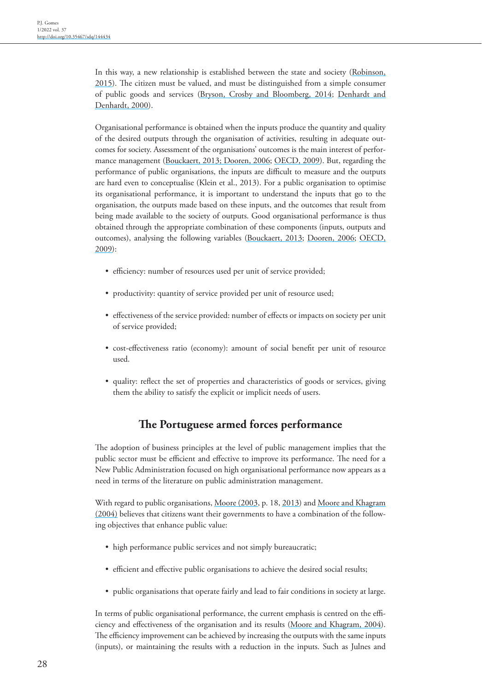In this way, a new relationship is established between the state and society [\(Robinson,](#page-16-6)  [2015\)](#page-16-6). The citizen must be valued, and must be distinguished from a simple consumer of public goods and services ([Bryson, Crosby and Bloomberg, 2014;](#page-14-10) [Denhardt and](#page-14-11)  [Denhardt, 2000](#page-14-11)).

Organisational performance is obtained when the inputs produce the quantity and quality of the desired outputs through the organisation of activities, resulting in adequate outcomes for society. Assessment of the organisations' outcomes is the main interest of performance management ([Bouckaert, 2013; Dooren, 2006;](#page-13-3) [OECD, 2009](#page-15-7)). But, regarding the performance of public organisations, the inputs are difficult to measure and the outputs are hard even to conceptualise (Klein et al., 2013). For a public organisation to optimise its organisational performance, it is important to understand the inputs that go to the organisation, the outputs made based on these inputs, and the outcomes that result from being made available to the society of outputs. Good organisational performance is thus obtained through the appropriate combination of these components (inputs, outputs and outcomes), analysing the following variables ([Bouckaert, 2013;](#page-13-3) [Dooren, 2006](#page-14-12); [OECD,](#page-15-7)  [2009\)](#page-15-7):

- efficiency: number of resources used per unit of service provided;
- productivity: quantity of service provided per unit of resource used;
- effectiveness of the service provided: number of effects or impacts on society per unit of service provided;
- cost-effectiveness ratio (economy): amount of social benefit per unit of resource used.
- quality: reflect the set of properties and characteristics of goods or services, giving them the ability to satisfy the explicit or implicit needs of users.

## **The Portuguese armed forces performance**

The adoption of business principles at the level of public management implies that the public sector must be efficient and effective to improve its performance. The need for a New Public Administration focused on high organisational performance now appears as a need in terms of the literature on public administration management.

With regard to public organisations, [Moore \(2003](#page-15-5), p. 18, [201](#page-15-8)3) and Moore and Khagram [\(2004\)](#page-15-6) believes that citizens want their governments to have a combination of the following objectives that enhance public value:

- high performance public services and not simply bureaucratic;
- efficient and effective public organisations to achieve the desired social results;
- public organisations that operate fairly and lead to fair conditions in society at large.

In terms of public organisational performance, the current emphasis is centred on the efficiency and effectiveness of the organisation and its results ([Moore and Khagram, 2004](#page-15-6)). The efficiency improvement can be achieved by increasing the outputs with the same inputs (inputs), or maintaining the results with a reduction in the inputs. Such as Julnes and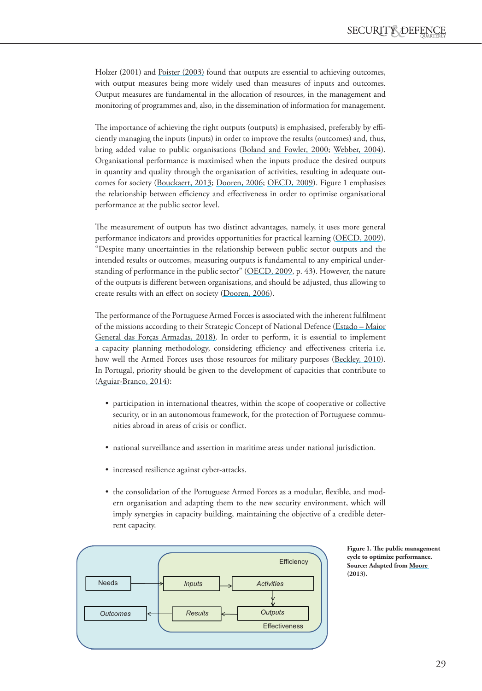Holzer (2001) and [Poister \(2003\)](#page-15-9) found that outputs are essential to achieving outcomes, with output measures being more widely used than measures of inputs and outcomes. Output measures are fundamental in the allocation of resources, in the management and monitoring of programmes and, also, in the dissemination of information for management.

The importance of achieving the right outputs (outputs) is emphasised, preferably by efficiently managing the inputs (inputs) in order to improve the results (outcomes) and, thus, bring added value to public organisations ([Boland and Fowler, 2000](#page-13-4); [Webber, 2004](#page-16-1)). Organisational performance is maximised when the inputs produce the desired outputs in quantity and quality through the organisation of activities, resulting in adequate outcomes for society [\(Bouckaert, 2013](#page-13-3); [Dooren, 2006](#page-14-12); [OECD, 2009](#page-15-7)). Figure 1 emphasises the relationship between efficiency and effectiveness in order to optimise organisational performance at the public sector level.

The measurement of outputs has two distinct advantages, namely, it uses more general performance indicators and provides opportunities for practical learning ([OECD, 2009](#page-15-7)). "Despite many uncertainties in the relationship between public sector outputs and the intended results or outcomes, measuring outputs is fundamental to any empirical understanding of performance in the public sector" ([OECD, 2009,](#page-15-7) p. 43). However, the nature of the outputs is different between organisations, and should be adjusted, thus allowing to create results with an effect on society ([Dooren, 2006](#page-14-12)).

The performance of the Portuguese Armed Forces is associated with the inherent fulfilment of the missions according to their Strategic Concept of National Defence (Estado – Maior General das Forças Armadas, 2018). In order to perform, it is essential to implement a capacity planning methodology, considering efficiency and effectiveness criteria i.e. how well the Armed Forces uses those resources for military purposes ([Beckley, 2010](#page-13-5)). In Portugal, priority should be given to the development of capacities that contribute to [\(Aguiar-Branco, 2014\)](#page-13-6):

- participation in international theatres, within the scope of cooperative or collective security, or in an autonomous framework, for the protection of Portuguese communities abroad in areas of crisis or conflict.
- national surveillance and assertion in maritime areas under national jurisdiction.
- increased resilience against cyber-attacks.
- the consolidation of the Portuguese Armed Forces as a modular, flexible, and modern organisation and adapting them to the new security environment, which will imply synergies in capacity building, maintaining the objective of a credible deterrent capacity.



**Figure 1. The public management cycle to optimize performance. Source: Adapted from [Moore](#page-15-0)  [\(2013\).](#page-15-0)**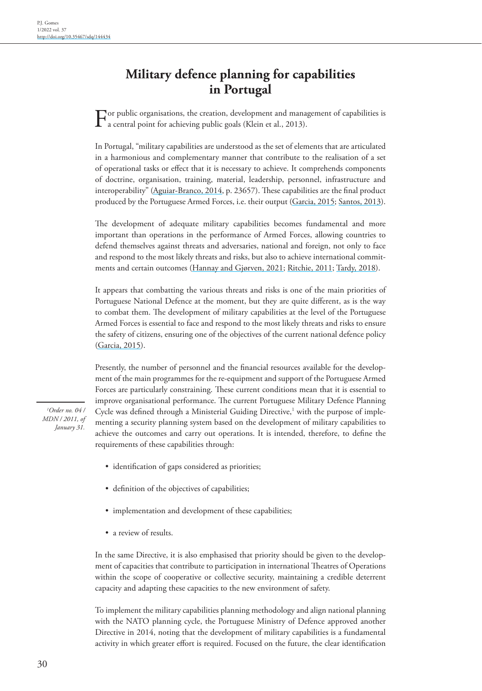# **Military defence planning for capabilities in Portugal**

For public organisations, the creation, development and management of capabilities is a central point for achieving public goals (Klein et al., 2013).

In Portugal, "military capabilities are understood as the set of elements that are articulated in a harmonious and complementary manner that contribute to the realisation of a set of operational tasks or effect that it is necessary to achieve. It comprehends components of doctrine, organisation, training, material, leadership, personnel, infrastructure and interoperability" [\(Aguiar-Branco, 2014](#page-13-6), p. 23657). These capabilities are the final product produced by the Portuguese Armed Forces, i.e. their output ([Garcia, 2015;](#page-14-0) [Santos, 2013](#page-16-7)).

The development of adequate military capabilities becomes fundamental and more important than operations in the performance of Armed Forces, allowing countries to defend themselves against threats and adversaries, national and foreign, not only to face and respond to the most likely threats and risks, but also to achieve international commitments and certain outcomes (Hannay and Gjørven, 2021; [Ritchie, 2011](#page-16-3); [Tardy, 2018](#page-16-8)).

It appears that combatting the various threats and risks is one of the main priorities of Portuguese National Defence at the moment, but they are quite different, as is the way to combat them. The development of military capabilities at the level of the Portuguese Armed Forces is essential to face and respond to the most likely threats and risks to ensure the safety of citizens, ensuring one of the objectives of the current national defence policy [\(Garcia, 2015](#page-14-0)).

Presently, the number of personnel and the financial resources available for the development of the main programmes for the re-equipment and support of the Portuguese Armed Forces are particularly constraining. These current conditions mean that it is essential to improve organisational performance. The current Portuguese Military Defence Planning Cycle was defined through a Ministerial Guiding Directive, $\frac{1}{1}$  with the purpose of implementing a security planning system based on the development of military capabilities to achieve the outcomes and carry out operations. It is intended, therefore, to define the requirements of these capabilities through:

- identification of gaps considered as priorities;
- definition of the objectives of capabilities;
- implementation and development of these capabilities;
- a review of results.

In the same Directive, it is also emphasised that priority should be given to the development of capacities that contribute to participation in international Theatres of Operations within the scope of cooperative or collective security, maintaining a credible deterrent capacity and adapting these capacities to the new environment of safety.

To implement the military capabilities planning methodology and align national planning with the NATO planning cycle, the Portuguese Ministry of Defence approved another Directive in 2014, noting that the development of military capabilities is a fundamental activity in which greater effort is required. Focused on the future, the clear identification

*1 Order no. 04 / MDN / 2011, of January 31.*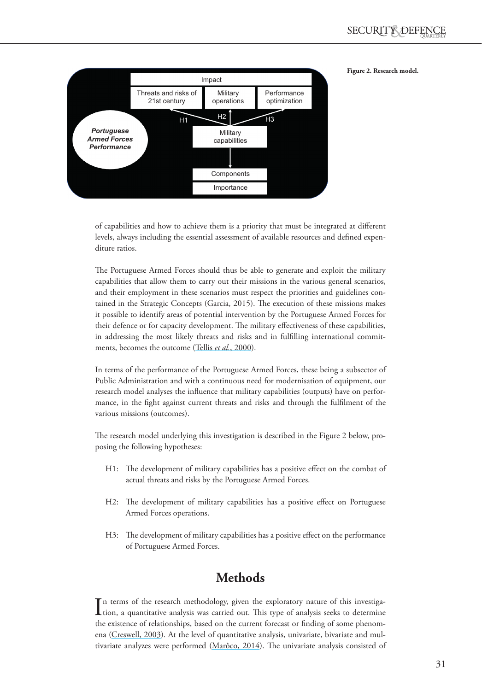### **Figure 2. Research model.**



of capabilities and how to achieve them is a priority that must be integrated at different levels, always including the essential assessment of available resources and defined expenditure ratios.

The Portuguese Armed Forces should thus be able to generate and exploit the military capabilities that allow them to carry out their missions in the various general scenarios, and their employment in these scenarios must respect the priorities and guidelines contained in the Strategic Concepts ([Garcia, 2015\)](#page-14-0). The execution of these missions makes it possible to identify areas of potential intervention by the Portuguese Armed Forces for their defence or for capacity development. The military effectiveness of these capabilities, in addressing the most likely threats and risks and in fulfilling international commitments, becomes the outcome (Tellis *et al.*, 2000).

In terms of the performance of the Portuguese Armed Forces, these being a subsector of Public Administration and with a continuous need for modernisation of equipment, our research model analyses the influence that military capabilities (outputs) have on performance, in the fight against current threats and risks and through the fulfilment of the various missions (outcomes).

The research model underlying this investigation is described in the Figure 2 below, proposing the following hypotheses:

- H1: The development of military capabilities has a positive effect on the combat of actual threats and risks by the Portuguese Armed Forces.
- H2: The development of military capabilities has a positive effect on Portuguese Armed Forces operations.
- H3: The development of military capabilities has a positive effect on the performance of Portuguese Armed Forces.

# **Methods**

In terms of the research methodology, given the exploratory nature of this investiga-<br>tion, a quantitative analysis was carried out. This type of analysis seeks to determine n terms of the research methodology, given the exploratory nature of this investigathe existence of relationships, based on the current forecast or finding of some phenomena [\(Creswell, 2003](#page-14-13)). At the level of quantitative analysis, univariate, bivariate and multivariate analyzes were performed (Marôco, 2014). The univariate analysis consisted of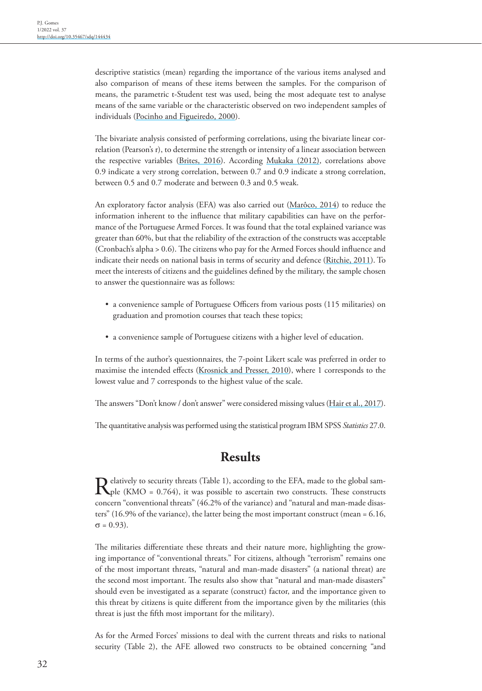descriptive statistics (mean) regarding the importance of the various items analysed and also comparison of means of these items between the samples. For the comparison of means, the parametric t-Student test was used, being the most adequate test to analyse means of the same variable or the characteristic observed on two independent samples of individuals ([Pocinho and Figueiredo, 2000\)](#page-15-10).

The bivariate analysis consisted of performing correlations, using the bivariate linear correlation (Pearson's r), to determine the strength or intensity of a linear association between the respective variables ([Brites, 2016\)](#page-14-14). According [Mukaka \(2012\),](#page-15-8) correlations above 0.9 indicate a very strong correlation, between 0.7 and 0.9 indicate a strong correlation, between 0.5 and 0.7 moderate and between 0.3 and 0.5 weak.

An exploratory factor analysis (EFA) was also carried out (Marôco, 2014) to reduce the information inherent to the influence that military capabilities can have on the performance of the Portuguese Armed Forces. It was found that the total explained variance was greater than 60%, but that the reliability of the extraction of the constructs was acceptable (Cronbach's alpha > 0.6). The citizens who pay for the Armed Forces should influence and indicate their needs on national basis in terms of security and defence [\(Ritchie, 2011](#page-16-3)). To meet the interests of citizens and the guidelines defined by the military, the sample chosen to answer the questionnaire was as follows:

- a convenience sample of Portuguese Officers from various posts (115 militaries) on graduation and promotion courses that teach these topics;
- a convenience sample of Portuguese citizens with a higher level of education.

In terms of the author's questionnaires, the 7-point Likert scale was preferred in order to maximise the intended effects ([Krosnick and Presser, 2010](#page-15-11)), where 1 corresponds to the lowest value and 7 corresponds to the highest value of the scale.

The answers "Don't know / don't answer" were considered missing values [\(Hair et al., 2017](#page-14-15)).

The quantitative analysis was performed using the statistical program IBM SPSS *Statistics* 27.0.

# **Results**

Relatively to security threats (Table 1), according to the EFA, made to the global sample (KMO = 0.764), it was possible to ascertain two constructs. These constructs concern "conventional threats" (46.2% of the variance) and "natural and man-made disasters" (16.9% of the variance), the latter being the most important construct (mean = 6.16,  $σ = 0.93$ ).

The militaries differentiate these threats and their nature more, highlighting the growing importance of "conventional threats." For citizens, although "terrorism" remains one of the most important threats, "natural and man-made disasters" (a national threat) are the second most important. The results also show that "natural and man-made disasters" should even be investigated as a separate (construct) factor, and the importance given to this threat by citizens is quite different from the importance given by the militaries (this threat is just the fifth most important for the military).

As for the Armed Forces' missions to deal with the current threats and risks to national security (Table 2), the AFE allowed two constructs to be obtained concerning "and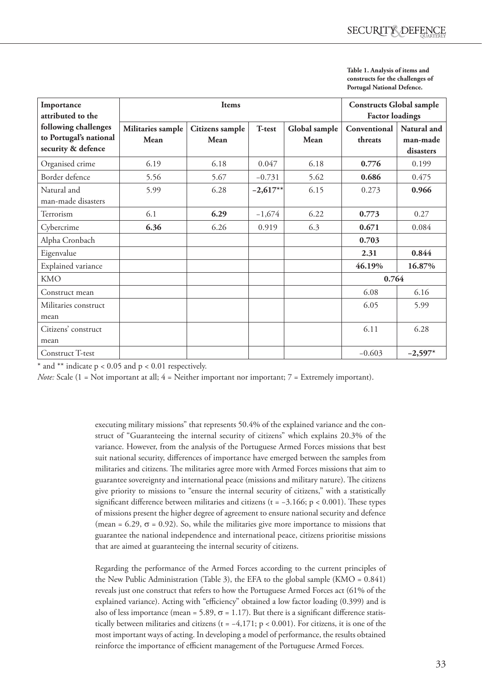| Table 1. Analysis of items and    |
|-----------------------------------|
| constructs for the challenges of  |
| <b>Portugal National Defence.</b> |

| Importance<br>attributed to the                                      |                           | <b>Constructs Global sample</b><br><b>Factor loadings</b> |            |                       |                         |                                      |
|----------------------------------------------------------------------|---------------------------|-----------------------------------------------------------|------------|-----------------------|-------------------------|--------------------------------------|
| following challenges<br>to Portugal's national<br>security & defence | Militaries sample<br>Mean | Citizens sample<br>Mean                                   | T-test     | Global sample<br>Mean | Conventional<br>threats | Natural and<br>man-made<br>disasters |
| Organised crime                                                      | 6.19                      | 6.18                                                      | 0.047      | 6.18                  | 0.776                   | 0.199                                |
| Border defence                                                       | 5.56                      | 5.67                                                      | $-0.731$   | 5.62                  | 0.686                   | 0.475                                |
| Natural and<br>man-made disasters                                    | 5.99                      | 6.28                                                      | $-2,617**$ | 6.15                  | 0.273                   | 0.966                                |
| Terrorism                                                            | 6.1                       | 6.29                                                      | $-1,674$   | 6.22                  | 0.773                   | 0.27                                 |
| Cybercrime                                                           | 6.36                      | 6.26                                                      | 0.919      | 6.3                   | 0.671                   | 0.084                                |
| Alpha Cronbach                                                       |                           |                                                           |            |                       | 0.703                   |                                      |
| Eigenvalue                                                           |                           |                                                           |            |                       | 2.31                    | 0.844                                |
| Explained variance                                                   |                           |                                                           |            |                       | 46.19%                  | 16.87%                               |
| <b>KMO</b>                                                           |                           |                                                           |            |                       | 0.764                   |                                      |
| Construct mean                                                       |                           |                                                           |            |                       | 6.08                    | 6.16                                 |
| Militaries construct                                                 |                           |                                                           |            |                       | 6.05                    | 5.99                                 |
| mean                                                                 |                           |                                                           |            |                       |                         |                                      |
| Citizens' construct<br>mean                                          |                           |                                                           |            |                       | 6.11                    | 6.28                                 |
| Construct T-test                                                     |                           |                                                           |            |                       | $-0.603$                | $-2,597*$                            |

 $*$  and  $**$  indicate p < 0.05 and p < 0.01 respectively.

*Note:* Scale (1 = Not important at all;  $4 =$  Neither important nor important;  $7 =$  Extremely important).

executing military missions" that represents 50.4% of the explained variance and the construct of "Guaranteeing the internal security of citizens" which explains 20.3% of the variance. However, from the analysis of the Portuguese Armed Forces missions that best suit national security, differences of importance have emerged between the samples from militaries and citizens. The militaries agree more with Armed Forces missions that aim to guarantee sovereignty and international peace (missions and military nature). The citizens give priority to missions to "ensure the internal security of citizens," with a statistically significant difference between militaries and citizens (t =  $-3.166$ ; p < 0.001). These types of missions present the higher degree of agreement to ensure national security and defence (mean =  $6.29$ ,  $\sigma$  = 0.92). So, while the militaries give more importance to missions that guarantee the national independence and international peace, citizens prioritise missions that are aimed at guaranteeing the internal security of citizens.

Regarding the performance of the Armed Forces according to the current principles of the New Public Administration (Table 3), the EFA to the global sample (KMO =  $0.841$ ) reveals just one construct that refers to how the Portuguese Armed Forces act (61% of the explained variance). Acting with "efficiency" obtained a low factor loading (0.399) and is also of less importance (mean = 5.89,  $\sigma$  = 1.17). But there is a significant difference statistically between militaries and citizens (t =  $-4,171$ ; p < 0.001). For citizens, it is one of the most important ways of acting. In developing a model of performance, the results obtained reinforce the importance of efficient management of the Portuguese Armed Forces.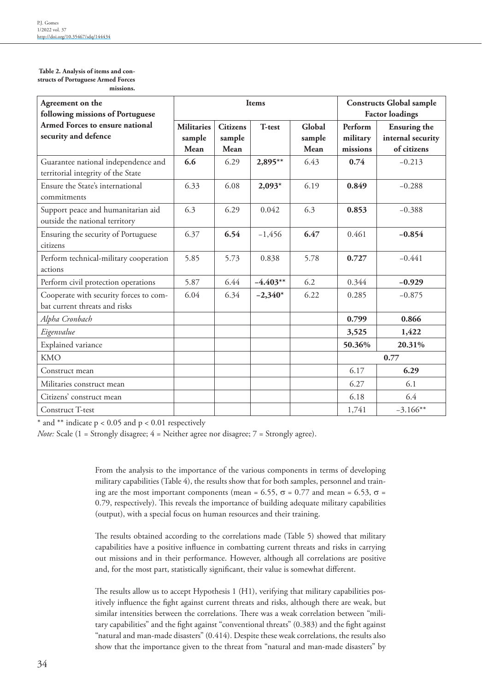#### **Table 2. Analysis of items and constructs of Portuguese Armed Forces missions.**

| Agreement on the<br>following missions of Portuguese                      |                                     |                                   | Items      | <b>Constructs Global sample</b><br><b>Factor loadings</b> |                                 |                                                         |
|---------------------------------------------------------------------------|-------------------------------------|-----------------------------------|------------|-----------------------------------------------------------|---------------------------------|---------------------------------------------------------|
| Armed Forces to ensure national<br>security and defence                   | <b>Militaries</b><br>sample<br>Mean | <b>Citizens</b><br>sample<br>Mean | T-test     | Global<br>sample<br>Mean                                  | Perform<br>military<br>missions | <b>Ensuring the</b><br>internal security<br>of citizens |
| Guarantee national independence and<br>territorial integrity of the State | 6.6                                 | 6.29                              | 2,895**    | 6.43                                                      | 0.74                            | $-0.213$                                                |
| Ensure the State's international<br>commitments                           | 6.33                                | 6.08                              | $2,093*$   | 6.19                                                      | 0.849                           | $-0.288$                                                |
| Support peace and humanitarian aid<br>outside the national territory      | 6.3                                 | 6.29                              | 0.042      | 6.3                                                       | 0.853                           | $-0.388$                                                |
| Ensuring the security of Portuguese<br>citizens                           | 6.37                                | 6.54                              | $-1,456$   | 6.47                                                      | 0.461                           | $-0.854$                                                |
| Perform technical-military cooperation<br>actions                         | 5.85                                | 5.73                              | 0.838      | 5.78                                                      | 0.727                           | $-0.441$                                                |
| Perform civil protection operations                                       | 5.87                                | 6.44                              | $-4.403**$ | 6.2                                                       | 0.344                           | $-0.929$                                                |
| Cooperate with security forces to com-<br>bat current threats and risks   | 6.04                                | 6.34                              | $-2,340*$  | 6.22                                                      | 0.285                           | $-0.875$                                                |
| Alpha Cronbach                                                            |                                     |                                   |            |                                                           | 0.799                           | 0.866                                                   |
| Eigenvalue                                                                |                                     |                                   |            |                                                           | 3,525                           | 1,422                                                   |
| Explained variance                                                        |                                     |                                   |            |                                                           | 50.36%                          | 20.31%                                                  |
| <b>KMO</b>                                                                |                                     |                                   |            |                                                           |                                 | 0.77                                                    |
| Construct mean                                                            |                                     |                                   |            |                                                           | 6.17                            | 6.29                                                    |
| Militaries construct mean                                                 |                                     |                                   |            |                                                           | 6.27                            | 6.1                                                     |
| Citizens' construct mean                                                  |                                     |                                   |            |                                                           | 6.18                            | 6.4                                                     |
| Construct T-test                                                          |                                     |                                   |            |                                                           | 1,741                           | $-3.166**$                                              |

\* and \*\* indicate  $p < 0.05$  and  $p < 0.01$  respectively

*Note:* Scale (1 = Strongly disagree; 4 = Neither agree nor disagree; 7 = Strongly agree).

From the analysis to the importance of the various components in terms of developing military capabilities (Table 4), the results show that for both samples, personnel and training are the most important components (mean = 6.55,  $\sigma$  = 0.77 and mean = 6.53,  $\sigma$  = 0.79, respectively). This reveals the importance of building adequate military capabilities (output), with a special focus on human resources and their training.

The results obtained according to the correlations made (Table 5) showed that military capabilities have a positive influence in combatting current threats and risks in carrying out missions and in their performance. However, although all correlations are positive and, for the most part, statistically significant, their value is somewhat different.

The results allow us to accept Hypothesis 1 (H1), verifying that military capabilities positively influence the fight against current threats and risks, although there are weak, but similar intensities between the correlations. There was a weak correlation between "military capabilities" and the fight against "conventional threats" (0.383) and the fight against "natural and man-made disasters" (0.414). Despite these weak correlations, the results also show that the importance given to the threat from "natural and man-made disasters" by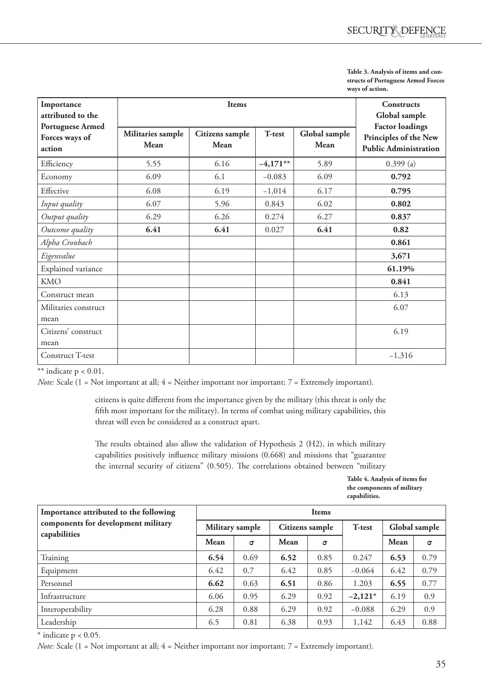| Table 3. Analysis of items and con- |
|-------------------------------------|
| structs of Portuguese Armed Forces  |
| ways of action.                     |

| Importance<br>attributed to the                                                  |      | Constructs<br>Global sample |            |                       |                                                                                 |  |  |
|----------------------------------------------------------------------------------|------|-----------------------------|------------|-----------------------|---------------------------------------------------------------------------------|--|--|
| <b>Portuguese Armed</b><br>Militaries sample<br>Forces ways of<br>Mean<br>action |      | Citizens sample<br>Mean     | T-test     | Global sample<br>Mean | <b>Factor loadings</b><br>Principles of the New<br><b>Public Administration</b> |  |  |
| Efficiency                                                                       | 5.55 | 6.16                        | $-4,171**$ | 5.89                  | $0.399$ (a)                                                                     |  |  |
| Economy                                                                          | 6.09 | 6.1                         | $-0.083$   | 6.09                  | 0.792                                                                           |  |  |
| Effective                                                                        | 6.08 | 6.19                        | $-1,014$   | 6.17                  | 0.795                                                                           |  |  |
| Input quality                                                                    | 6.07 | 5.96                        | 0.843      | 6.02                  | 0.802                                                                           |  |  |
| Output quality                                                                   | 6.29 | 6.26                        | 0.274      | 6.27                  | 0.837                                                                           |  |  |
| Outcome quality                                                                  | 6.41 | 6.41                        | 0.027      | 6.41                  | 0.82                                                                            |  |  |
| Alpha Cronbach                                                                   |      |                             |            |                       | 0.861                                                                           |  |  |
| Eigenvalue                                                                       |      |                             |            |                       | 3,671                                                                           |  |  |
| Explained variance                                                               |      |                             |            |                       | 61.19%                                                                          |  |  |
| <b>KMO</b>                                                                       |      |                             |            |                       | 0.841                                                                           |  |  |
| Construct mean                                                                   |      |                             |            |                       | 6.13                                                                            |  |  |
| Militaries construct<br>mean                                                     |      |                             |            |                       | 6.07                                                                            |  |  |
| Citizens' construct<br>mean                                                      |      |                             |            |                       | 6.19                                                                            |  |  |
| Construct T-test                                                                 |      |                             |            |                       | $-1,316$                                                                        |  |  |

\*\* indicate  $p < 0.01$ .

*Note:* Scale (1 = Not important at all; 4 = Neither important nor important; 7 = Extremely important).

citizens is quite different from the importance given by the military (this threat is only the fifth most important for the military). In terms of combat using military capabilities, this threat will even be considered as a construct apart.

The results obtained also allow the validation of Hypothesis 2 (H2), in which military capabilities positively influence military missions (0.668) and missions that "guarantee the internal security of citizens" (0.505). The correlations obtained between "military

> **Table 4. Analysis of items for the components of military capabilities.**

| Importance attributed to the following              | <b>Items</b>    |          |                 |      |           |               |          |  |
|-----------------------------------------------------|-----------------|----------|-----------------|------|-----------|---------------|----------|--|
| components for development military<br>capabilities | Military sample |          | Citizens sample |      | T-test    | Global sample |          |  |
|                                                     | Mean            | $\sigma$ | Mean            | σ    |           | Mean          | $\sigma$ |  |
| Training                                            | 6.54            | 0.69     | 6.52            | 0.85 | 0.247     | 6.53          | 0.79     |  |
| Equipment                                           | 6.42            | 0.7      | 6.42            | 0.85 | $-0.064$  | 6.42          | 0.79     |  |
| Personnel                                           | 6.62            | 0.63     | 6.51            | 0.86 | 1.203     | 6.55          | 0.77     |  |
| Infrastructure                                      | 6.06            | 0.95     | 6.29            | 0.92 | $-2,121*$ | 6.19          | 0.9      |  |
| Interoperability                                    | 6.28            | 0.88     | 6.29            | 0.92 | $-0.088$  | 6.29          | 0.9      |  |
| Leadership                                          | 6.5             | 0.81     | 6.38            | 0.93 | 1,142     | 6.43          | 0.88     |  |

 $*$  indicate  $p < 0.05$ .

*Note:* Scale (1 = Not important at all; 4 = Neither important nor important; 7 = Extremely important).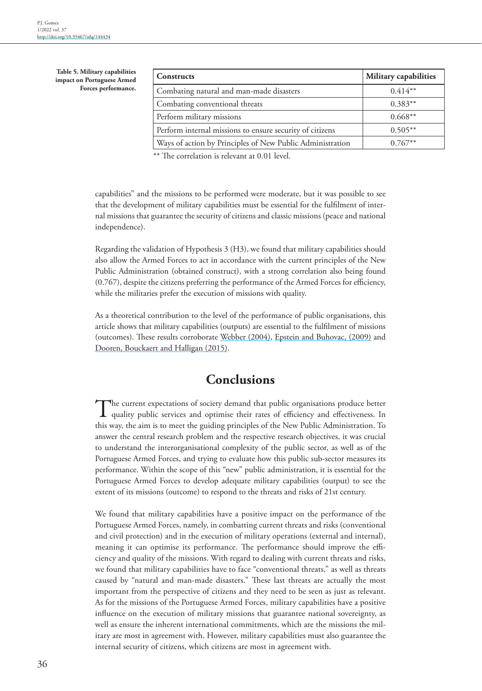**Table 5. Military capabilities impact on Portuguese Armed Forces performance.**

| <b>Constructs</b>                                         | Military capabilities |
|-----------------------------------------------------------|-----------------------|
| Combating natural and man-made disasters                  | $0.414**$             |
| Combating conventional threats                            | $0.383**$             |
| Perform military missions                                 | $0.668**$             |
| Perform internal missions to ensure security of citizens  | $0.505**$             |
| Ways of action by Principles of New Public Administration | $0.767**$             |

\*\* The correlation is relevant at 0.01 level.

capabilities" and the missions to be performed were moderate, but it was possible to see that the development of military capabilities must be essential for the fulfilment of internal missions that guarantee the security of citizens and classic missions (peace and national independence).

Regarding the validation of Hypothesis 3 (H3), we found that military capabilities should also allow the Armed Forces to act in accordance with the current principles of the New Public Administration (obtained construct), with a strong correlation also being found (0.767), despite the citizens preferring the performance of the Armed Forces for efficiency, while the militaries prefer the execution of missions with quality.

As a theoretical contribution to the level of the performance of public organisations, this article shows that military capabilities (outputs) are essential to the fulfilment of missions (outcomes). These results corroborate [Webber \(2004\)](#page-16-1), [Epstein and Buhovac, \(2009\)](#page-14-2) and [Dooren, Bouckaert and Halligan \(2015\).](#page-14-3)

# **Conclusions**

The current expectations of society demand that public organisations produce better quality public services and optimise their rates of efficiency and effectiveness. In this way, the aim is to meet the guiding principles of the New Public Administration. To answer the central research problem and the respective research objectives, it was crucial to understand the interorganisational complexity of the public sector, as well as of the Portuguese Armed Forces, and trying to evaluate how this public sub-sector measures its performance. Within the scope of this "new" public administration, it is essential for the Portuguese Armed Forces to develop adequate military capabilities (output) to see the extent of its missions (outcome) to respond to the threats and risks of 21st century.

We found that military capabilities have a positive impact on the performance of the Portuguese Armed Forces, namely, in combatting current threats and risks (conventional and civil protection) and in the execution of military operations (external and internal), meaning it can optimise its performance. The performance should improve the efficiency and quality of the missions. With regard to dealing with current threats and risks, we found that military capabilities have to face "conventional threats," as well as threats caused by "natural and man-made disasters." These last threats are actually the most important from the perspective of citizens and they need to be seen as just as relevant. As for the missions of the Portuguese Armed Forces, military capabilities have a positive influence on the execution of military missions that guarantee national sovereignty, as well as ensure the inherent international commitments, which are the missions the military are most in agreement with. However, military capabilities must also guarantee the internal security of citizens, which citizens are most in agreement with.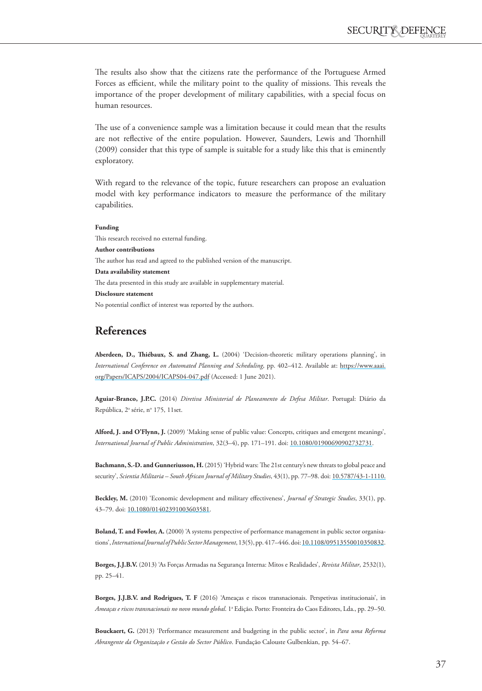The results also show that the citizens rate the performance of the Portuguese Armed Forces as efficient, while the military point to the quality of missions. This reveals the importance of the proper development of military capabilities, with a special focus on human resources.

The use of a convenience sample was a limitation because it could mean that the results are not reflective of the entire population. However, Saunders, Lewis and Thornhill (2009) consider that this type of sample is suitable for a study like this that is eminently exploratory.

With regard to the relevance of the topic, future researchers can propose an evaluation model with key performance indicators to measure the performance of the military capabilities.

### **Funding**

This research received no external funding. **Author contributions** The author has read and agreed to the published version of the manuscript. **Data availability statement** The data presented in this study are available in supplementary material. **Disclosure statement** No potential conflict of interest was reported by the authors.

## **References**

**Aberdeen, D., Thiébaux, S. and Zhang, L.** (2004) 'Decision-theoretic military operations planning', in *International Conference on Automated Planning and Scheduling*, pp. 402–412. Available at: [https://www.aaai.](https://www.aaai.org/Papers/ICAPS/2004/ICAPS04-047.pdf) [org/Papers/ICAPS/2004/ICAPS04-047.pdf](https://www.aaai.org/Papers/ICAPS/2004/ICAPS04-047.pdf) (Accessed: 1 June 2021).

<span id="page-13-6"></span>**Aguiar-Branco, J.P.C.** (2014) *Diretiva Ministerial de Planeamento de Defesa Militar*. Portugal: Diário da República, 2ª série, nº 175, 11set.

**Alford, J. and O'Flynn, J.** (2009) 'Making sense of public value: Concepts, critiques and emergent meanings', *International Journal of Public Administration*, 32(3–4), pp. 171–191. doi: [10.1080/01900690902732731.](http://doi.org/10.1080/01900690902732731)

<span id="page-13-2"></span>**Bachmann, S.-D. and Gunneriusson, H.** (2015) 'Hybrid wars: The 21st century's new threats to global peace and security', *Scientia Militaria – South African Journal of Military Studies*, 43(1), pp. 77–98. doi: [10.5787/43-1-1110.](http://doi.org/10.5787/43-1-1110.)

<span id="page-13-5"></span>**Beckley, M.** (2010) 'Economic development and military effectiveness', *Journal of Strategic Studies*, 33(1), pp. 43–79. doi: [10.1080/01402391003603581.](http://doi.org/10.1080/01402391003603581)

<span id="page-13-4"></span>**Boland, T. and Fowler, A.** (2000) 'A systems perspective of performance management in public sector organisations', *International Journal of Public Sector Management*, 13(5), pp. 417–446. doi: [10.1108/09513550010350832.](http://doi.org/10.1108/09513550010350832)

<span id="page-13-0"></span>**Borges, J.J.B.V.** (2013) 'As Forças Armadas na Segurança Interna: Mitos e Realidades', *Revista Militar*, 2532(1), pp. 25–41.

<span id="page-13-1"></span>**Borges, J.J.B.V. and Rodrigues, T. F** (2016) 'Ameaças e riscos transnacionais. Perspetivas institucionais', in *Ameaças e riscos transnacionais no novo mundo global.* 1ª Edição. Porto: Fronteira do Caos Editores, Lda., pp. 29–50.

<span id="page-13-3"></span>**Bouckaert, G.** (2013) 'Performance measurement and budgeting in the public sector', in *Para uma Reforma Abrangente da Organização e Gestão do Sector Público*. Fundação Calouste Gulbenkian, pp. 54–67.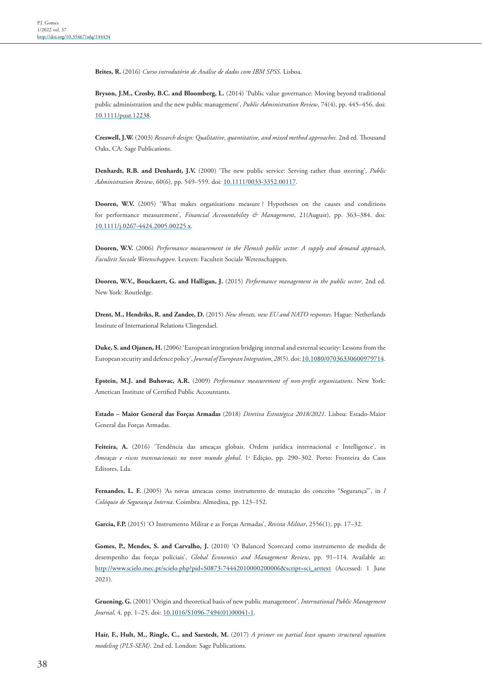<span id="page-14-14"></span>**Brites, R.** (2016) *Curso introdutório de Análise de dados com IBM SPSS*. Lisboa.

<span id="page-14-10"></span>**Bryson, J.M., Crosby, B.C. and Bloomberg, L.** (2014) 'Public value governance: Moving beyond traditional public administration and the new public management', *Public Administration Review*, 74(4), pp. 445–456. doi: [10.1111/puar.12238](http://doi.org/10.1111/puar.12238).

<span id="page-14-13"></span>**Creswell, J.W.** (2003) *Research design: Qualitative, quantitative, and mixed method approaches.* 2nd ed. Thousand Oaks, CA: Sage Publications.

<span id="page-14-11"></span>**Denhardt, R.B. and Denhardt, J.V.** (2000) 'The new public service: Serving rather than steering', *Public Administration Review*, 60(6), pp. 549–559. doi: [10.1111/0033-3352.00117](http://doi.org/10.1111/0033-3352.00117).

<span id="page-14-4"></span>**Dooren, W.V.** (2005) 'What makes organisations measure ? Hypotheses on the causes and conditions for performance measurement', *Financial Accountability & Management*, 21(August), pp. 363–384. doi: [10.1111/j.0267-4424.2005.00225.x.](http://doi.org/10.1111/j.0267-4424.2005.00225.x)

<span id="page-14-12"></span>**Dooren, W.V.** (2006) *Performance measurement in the Flemish public sector: A supply and demand approach*, *Faculteit Sociale Wetenschappen*. Leuven: Faculteit Sociale Wetenschappen.

<span id="page-14-3"></span>**Dooren, W.V., Bouckaert, G. and Halligan, J.** (2015) *Performance management in the public sector*. 2nd ed. New York: Routledge.

<span id="page-14-5"></span>**Drent, M., Hendriks, R. and Zandee, D.** (2015) *New threats, new EU and NATO responses*. Hague: Netherlands Institute of International Relations Clingendael.

<span id="page-14-6"></span>**Duke, S. and Ojanen, H.** (2006) 'European integration bridging internal and external security: Lessons from the European security and defence policy', *Journal of European Integration*, *28*(5). doi: [10.1080/07036330600979714.](http://doi.org/10.1080/07036330600979714)

<span id="page-14-2"></span>**Epstein, M.J. and Buhovac, A.R.** (2009) *Performance measurement of non-profit organizations*. New York: American Institute of Certified Public Accountants.

**Estado – Maior General das Forças Armadas** (2018) *Diretiva Estratégica 2018/2021*. Lisboa: Estado-Maior General das Forças Armadas.

<span id="page-14-7"></span>Feiteira, A. (2016) 'Tendência das ameaças globais. Ordem jurídica internacional e Intelligence', in *Ameaças e riscos transnacionais no novo mundo global*. 1a Edição, pp. 290–302. Porto: Fronteira do Caos Editores, Lda.

<span id="page-14-8"></span>**Fernandes, L. F.** (2005) 'As novas ameacas como instrumento de mutação do conceito "Segurança"', in *I Colóquio de Segurança Interna*. Coimbra: Almedina, pp. 123–152.

<span id="page-14-0"></span>**Garcia, F.P.** (2015) 'O Instrumento Militar e as Forças Armadas', *Revista Militar*, 2556(1), pp. 17–32.

<span id="page-14-1"></span>Gomes, P., Mendes, S. and Carvalho, J. (2010) 'O Balanced Scorecard como instrumento de medida de desempenho das forças policiais', *Global Economics and Management Review*, pp. 91–114. Available at: [http://www.scielo.mec.pt/scielo.php?pid=S0873-74442010000200006&script=sci\\_arttext](http://www.scielo.mec.pt/scielo.php?pid=S0873-74442010000200006&script=sci_arttext) (Accessed: 1 June 2021).

<span id="page-14-9"></span>**Gruening, G.** (2001) 'Origin and theoretical basis of new public management', *International Public Management Journal*, 4, pp. 1–25. doi: [10.1016/S1096-7494\(01\)00041-1.](http://doi.org/10.1016/S1096-7494(01)00041-1)

<span id="page-14-15"></span>**Hair, F., Hult, M., Ringle, C., and Sarstedt, M.** (2017) *A primer on partial least squares structural equation modeling (PLS-SEM)*. 2nd ed. London: Sage Publications.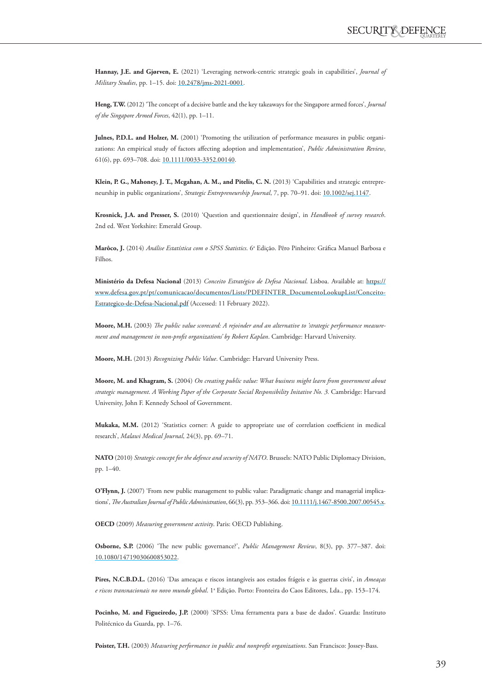**Hannay, J.E. and Gjørven, E.** (2021) 'Leveraging network-centric strategic goals in capabilities', *Journal of Military Studies*, pp. 1–15. doi: [10.2478/jms-2021-0001](http://doi.org/10.2478/jms-2021-0001).

<span id="page-15-1"></span>**Heng, T.W.** (2012) 'The concept of a decisive battle and the key takeaways for the Singapore armed forces', *Journal of the Singapore Armed Forces*, 42(1), pp. 1–11.

Julnes, P.D.L. and Holzer, M. (2001) 'Promoting the utilization of performance measures in public organizations: An empirical study of factors affecting adoption and implementation', *Public Administration Review*, 61(6), pp. 693–708. doi: [10.1111/0033-3352.00140](http://doi.org/10.1111/0033-3352.00140).

**Klein, P. G., Mahoney, J. T., Mcgahan, A. M., and Pitelis, C. N.** (2013) 'Capabilities and strategic entrepreneurship in public organizations', *Strategic Entrepreneurship Journal*, 7, pp. 70–91. doi: [10.1002/sej.1147](http://doi.org/10.1002/sej.1147).

<span id="page-15-11"></span>**Krosnick, J.A. and Presser, S.** (2010) 'Question and questionnaire design', in *Handbook of survey research*. 2nd ed. West Yorkshire: Emerald Group.

**Marôco, J.** (2014) *Análise Estatística com o SPSS Statistics*. 6ª Edição. Pêro Pinheiro: Gráfica Manuel Barbosa e Filhos.

**Ministério da Defesa Nacional** (2013) *Conceito Estratégico de Defesa Nacional*. Lisboa. Available at: [https://](https://www.defesa.gov.pt/pt/comunicacao/documentos/Lists/PDEFINTER_DocumentoLookupList/Conceito-Estrategico-de-Defesa-Nacional.pdf) [www.defesa.gov.pt/pt/comunicacao/documentos/Lists/PDEFINTER\\_DocumentoLookupList/Conceito-](https://www.defesa.gov.pt/pt/comunicacao/documentos/Lists/PDEFINTER_DocumentoLookupList/Conceito-Estrategico-de-Defesa-Nacional.pdf)[Estrategico-de-Defesa-Nacional.pdf](https://www.defesa.gov.pt/pt/comunicacao/documentos/Lists/PDEFINTER_DocumentoLookupList/Conceito-Estrategico-de-Defesa-Nacional.pdf) (Accessed: 11 February 2022).

<span id="page-15-5"></span>**Moore, M.H.** (2003) *The public value scorecard: A rejoinder and an alternative to 'strategic performance measurement and management in non-profit organizations' by Robert Kaplan*. Cambridge: Harvard University.

<span id="page-15-0"></span>**Moore, M.H.** (2013) *Recognizing Public Value*. Cambridge: Harvard University Press.

<span id="page-15-6"></span>**Moore, M. and Khagram, S.** (2004) *On creating public value: What business might learn from government about strategic management*. *A Working Paper of the Corporate Social Responsibility Initative No. 3.* Cambridge: Harvard University, John F. Kennedy School of Government.

<span id="page-15-8"></span>**Mukaka, M.M.** (2012) 'Statistics corner: A guide to appropriate use of correlation coefficient in medical research', *Malawi Medical Journal*, 24(3), pp. 69–71.

<span id="page-15-3"></span>**NATO** (2010) *Strategic concept for the defence and security of NATO*. Brussels: NATO Public Diplomacy Division, pp. 1–40.

**O'Flynn, J.** (2007) 'From new public management to public value: Paradigmatic change and managerial implications', *The Australian Journal of Public Administration*, 66(3), pp. 353–366. doi: [10.1111/j.1467-8500.2007.00545.x.](http://doi.org/10.1111/j.1467-8500.2007.00545.x)

<span id="page-15-7"></span>**OECD** (2009) *Measuring government activity*. Paris: OECD Publishing.

<span id="page-15-4"></span>**Osborne, S.P.** (2006) 'The new public governance?', *Public Management Review*, 8(3), pp. 377–387. doi: [10.1080/14719030600853022.](http://doi.org/10.1080/14719030600853022)

<span id="page-15-2"></span>**Pires, N.C.B.D.L.** (2016) 'Das ameaças e riscos intangíveis aos estados frágeis e às guerras civis', in *Ameaças e riscos transnacionais no novo mundo global*. 1ª Edição. Porto: Fronteira do Caos Editores, Lda., pp. 153–174.

<span id="page-15-10"></span>Pocinho, M. and Figueiredo, J.P. (2000) 'SPSS: Uma ferramenta para a base de dados'. Guarda: Instituto Politécnico da Guarda, pp. 1–76.

<span id="page-15-9"></span>**Poister, T.H.** (2003) *Measuring performance in public and nonprofit organizations*. San Francisco: Jossey-Bass.